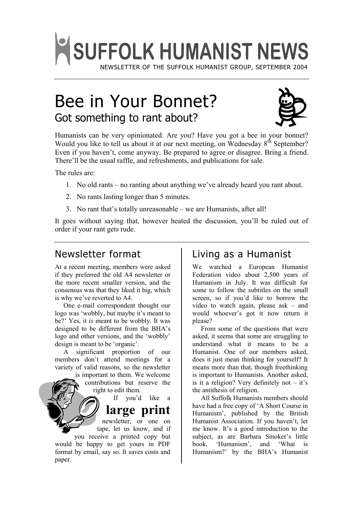

# Bee in Your Bonnet? Got something to rant about?



Humanists can be very opinionated. Are you? Have you got a bee in your bonnet? Would you like to tell us about it at our next meeting, on Wednesday 8<sup>th</sup> September? Even if you haven't, come anyway. Be prepared to agree or disagree. Bring a friend. There'll be the usual raffle, and refreshments, and publications for sale.

The rules are:

- 1. No old rants no ranting about anything we've already heard you rant about.
- 2. No rants lasting longer than 5 minutes.
- 3. No rant that's totally unreasonable we are Humanists, after all!

It goes without saying that, however heated the discussion, you'll be ruled out of order if your rant gets rude.

## Newsletter format

At a recent meeting, members were asked if they preferred the old A4 newsletter or the more recent smaller version, and the consensus was that they liked it big, which is why we've reverted to A4.

One e-mail correspondent thought our logo was 'wobbly, but maybe it's meant to be?' Yes, it *is* meant to be wobbly. It was designed to be different from the BHA's logo and other versions, and the 'wobbly' design is meant to be 'organic'.

A significant proportion of our members don't attend meetings for a variety of valid reasons, so the newsletter

is important to them. We welcome contributions but reserve the right to edit them.

If you'd like a

**large print**

newsletter, or one on tape, let us know, and if you receive a printed copy but

would be happy to get yours in PDF format by email, say so. It saves costs and paper.

## Living as a Humanist

We watched a European Humanist Federation video about 2,500 years of Humanism in July. It was difficult for some to follow the subtitles on the small screen, so if you'd like to borrow the video to watch again, please ask – and would whoever's got it now return it please?

From some of the questions that were asked, it seems that some are struggling to understand what it means to be a Humanist. One of our members asked, does it just mean thinking for yourself? It means more than that, though freethinking is important to Humanists. Another asked, is it a religion? Very definitely not  $-$  it's the antithesis of religion.

All Suffolk Humanists members should have had a free copy of 'A Short Course in Humanism', published by the British Humanist Association. If you haven't, let me know. It's a good introduction to the subject, as are Barbara Smoker's little book, 'Humanism', and 'What is Humanism?' by the BHA's Humanist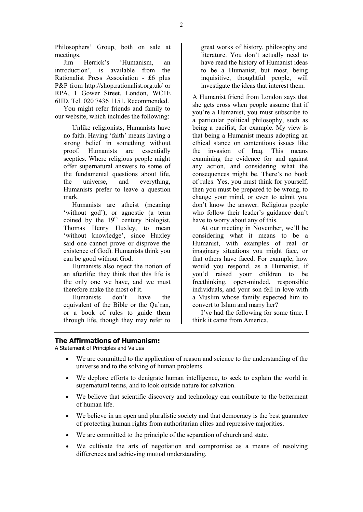Philosophers' Group, both on sale at meetings.

Jim Herrick's 'Humanism, an introduction', is available from the Rationalist Press Association - £6 plus P&P from <http://shop.rationalist.org.uk/> or RPA, 1 Gower Street, London, WC1E 6HD. Tel. 020 7436 1151. Recommended.

You might refer friends and family to our website, which includes the following:

Unlike religionists, Humanists have no faith. Having 'faith' means having a strong belief in something without proof. Humanists are essentially sceptics. Where religious people might offer supernatural answers to some of the fundamental questions about life, the universe, and everything, Humanists prefer to leave a question mark.

Humanists are atheist (meaning 'without god'), or agnostic (a term coined by the  $19<sup>th</sup>$  century biologist, Thomas Henry Huxley, to mean 'without knowledge', since Huxley said one cannot prove or disprove the existence of God). Humanists think you can be good without God.

Humanists also reject the notion of an afterlife; they think that this life is the only one we have, and we must therefore make the most of it.

Humanists don't have the equivalent of the Bible or the Qu'ran, or a book of rules to guide them through life, though they may refer to great works of history, philosophy and literature. You don't actually need to have read the history of Humanist ideas to be a Humanist, but most, being inquisitive, thoughtful people, will investigate the ideas that interest them.

A Humanist friend from London says that she gets cross when people assume that if you're a Humanist, you must subscribe to a particular political philosophy, such as being a pacifist, for example. My view is that being a Humanist means adopting an ethical stance on contentious issues like the invasion of Iraq. This means examining the evidence for and against any action, and considering what the consequences might be. There's no book of rules. Yes, you must think for yourself, then you must be prepared to be wrong, to change your mind, or even to admit you don't know the answer. Religious people who follow their leader's guidance don't have to worry about any of this.

At our meeting in November, we'll be considering what it means to be a Humanist, with examples of real or imaginary situations you might face, or that others have faced. For example, how would you respond, as a Humanist, if you'd raised your children to be freethinking, open-minded, responsible individuals, and your son fell in love with a Muslim whose family expected him to convert to Islam and marry her?

I've had the following for some time. I think it came from America.

#### **The Affirmations of Humanism:**

A Statement of Principles and Values

- · We are committed to the application of reason and science to the understanding of the universe and to the solving of human problems.
- · We deplore efforts to denigrate human intelligence, to seek to explain the world in supernatural terms, and to look outside nature for salvation.
- We believe that scientific discovery and technology can contribute to the betterment of human life.
- We believe in an open and pluralistic society and that democracy is the best guarantee of protecting human rights from authoritarian elites and repressive majorities.
- We are committed to the principle of the separation of church and state.
- · We cultivate the arts of negotiation and compromise as a means of resolving differences and achieving mutual understanding.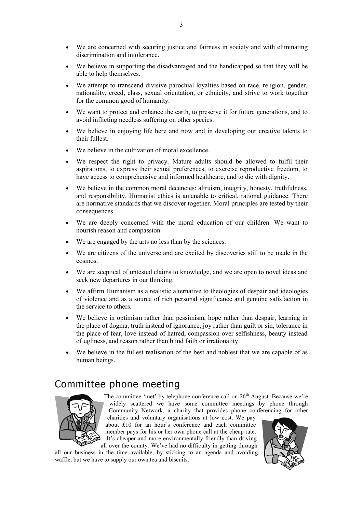- · We are concerned with securing justice and fairness in society and with eliminating discrimination and intolerance.
- We believe in supporting the disadvantaged and the handicapped so that they will be able to help themselves.
- · We attempt to transcend divisive parochial loyalties based on race, religion, gender, nationality, creed, class, sexual orientation, or ethnicity, and strive to work together for the common good of humanity.
- · We want to protect and enhance the earth, to preserve it for future generations, and to avoid inflicting needless suffering on other species.
- We believe in enjoying life here and now and in developing our creative talents to their fullest.
- We believe in the cultivation of moral excellence.
- We respect the right to privacy. Mature adults should be allowed to fulfil their aspirations, to express their sexual preferences, to exercise reproductive freedom, to have access to comprehensive and informed healthcare, and to die with dignity.
- · We believe in the common moral decencies: altruism, integrity, honesty, truthfulness, and responsibility. Humanist ethics is amenable to critical, rational guidance. There are normative standards that we discover together. Moral principles are tested by their consequences.
- We are deeply concerned with the moral education of our children. We want to nourish reason and compassion.
- We are engaged by the arts no less than by the sciences.
- We are citizens of the universe and are excited by discoveries still to be made in the cosmos.
- We are sceptical of untested claims to knowledge, and we are open to novel ideas and seek new departures in our thinking.
- We affirm Humanism as a realistic alternative to theologies of despair and ideologies of violence and as a source of rich personal significance and genuine satisfaction in the service to others.
- · We believe in optimism rather than pessimism, hope rather than despair, learning in the place of dogma, truth instead of ignorance, joy rather than guilt or sin, tolerance in the place of fear, love instead of hatred, compassion over selfishness, beauty instead of ugliness, and reason rather than blind faith or irrationality.
- We believe in the fullest realisation of the best and noblest that we are capable of as human beings.

## Committee phone meeting



The committee 'met' by telephone conference call on  $26<sup>th</sup>$  August. Because we're widely scattered we have some committee meetings by phone through Community Network, a charity that provides phone conferencing for other

charities and voluntary organisations at low cost. We pay about £10 for an hour's conference and each committee member pays for his or her own phone call at the cheap rate. It's cheaper and more environmentally friendly than driving all over the county. We've had no difficulty in getting through

all our business in the time available, by sticking to an agenda and avoiding waffle, but we have to supply our own tea and biscuits.

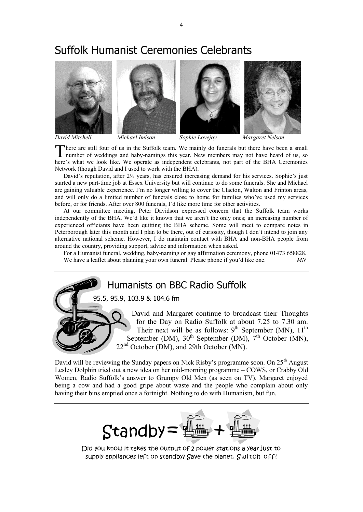## Suffolk Humanist Ceremonies Celebrants



here are still four of us in the Suffolk team. We mainly do funerals but there have been a small There are still four of us in the Suffolk team. We mainly do funerals but there have been a small number of weddings and baby-namings this year. New members may not have heard of us, so here's what we look like. We operate as independent celebrants, not part of the BHA Ceremonies Network (though David and I used to work with the BHA).

David's reputation, after  $2\frac{1}{2}$  years, has ensured increasing demand for his services. Sophie's just started a new part-time job at Essex University but will continue to do some funerals. She and Michael are gaining valuable experience. I'm no longer willing to cover the Clacton, Walton and Frinton areas, and will only do a limited number of funerals close to home for families who've used my services before, or for friends. After over 800 funerals, I'd like more time for other activities.

At our committee meeting, Peter Davidson expressed concern that the Suffolk team works independently of the BHA. We'd like it known that we aren't the only ones; an increasing number of experienced officiants have been quitting the BHA scheme. Some will meet to compare notes in Peterborough later this month and I plan to be there, out of curiosity, though I don't intend to join any alternative national scheme. However, I do maintain contact with BHA and non-BHA people from around the country, providing support, advice and information when asked.

For a Humanist funeral, wedding, baby-naming or gay affirmation ceremony, phone 01473 658828. We have a leaflet about planning your own funeral. Please phone if you'd like one. *MN* 

Humanists on BBC Radio Suffolk

95.5, 95.9, 103.9 & 104.6 fm

David and Margaret continue to broadcast their Thoughts for the Day on Radio Suffolk at about 7.25 to 7.30 am. Their next will be as follows:  $9^{th}$  September (MN),  $11^{th}$ September (DM),  $30<sup>th</sup>$  September (DM),  $7<sup>th</sup>$  October (MN), 22<sup>nd</sup> October (DM), and 29th October (MN).

David will be reviewing the Sunday papers on Nick Risby's programme soon. On 25<sup>th</sup> August Lesley Dolphin tried out a new idea on her mid-morning programme – COWS, or Crabby Old Women, Radio Suffolk's answer to Grumpy Old Men (as seen on TV). Margaret enjoyed being a cow and had a good gripe about waste and the people who complain about only having their bins emptied once a fortnight. Nothing to do with Humanism, but fun.



Did you know it takes the output of 2 power stations a year just to supply appliances left on standby? Save the planet. Switch off!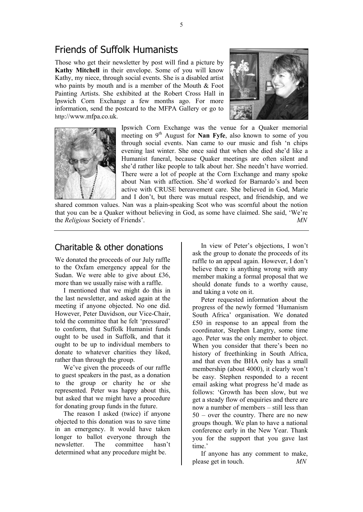## Friends of Suffolk Humanists

Those who get their newsletter by post will find a picture by **Kathy Mitchell** in their envelope. Some of you will know Kathy, my niece, through social events. She is a disabled artist who paints by mouth and is a member of the Mouth & Foot Painting Artists. She exhibited at the Robert Cross Hall in Ipswich Corn Exchange a few months ago. For more information, send the postcard to the MFPA Gallery or go to http://[www.mfpa.co.uk.](http://www.mfpa.co.uk)





Ipswich Corn Exchange was the venue for a Quaker memorial meeting on 9<sup>th</sup> August for **Nan Fyfe**, also known to some of you through social events. Nan came to our music and fish 'n chips evening last winter. She once said that when she died she'd like a Humanist funeral, because Quaker meetings are often silent and she'd rather like people to talk about her. She needn't have worried. There were a lot of people at the Corn Exchange and many spoke about Nan with affection. She'd worked for Barnardo's and been active with CRUSE bereavement care. She believed in God, Marie and I don't, but there was mutual respect, and friendship, and we

shared common values. Nan was a plain-speaking Scot who was scornful about the notion that you can be a Quaker without believing in God, as some have claimed. She said, 'We're the *Religious* Society of Friends'. *MN*

#### Charitable & other donations

We donated the proceeds of our July raffle to the Oxfam emergency appeal for the Sudan. We were able to give about £36, more than we usually raise with a raffle.

I mentioned that we might do this in the last newsletter, and asked again at the meeting if anyone objected. No one did. However, Peter Davidson, our Vice-Chair, told the committee that he felt 'pressured' to conform, that Suffolk Humanist funds ought to be used in Suffolk, and that it ought to be up to individual members to donate to whatever charities they liked, rather than through the group.

We've given the proceeds of our raffle to guest speakers in the past, as a donation to the group or charity he or she represented. Peter was happy about this, but asked that we might have a procedure for donating group funds in the future.

The reason I asked (twice) if anyone objected to this donation was to save time in an emergency. It would have taken longer to ballot everyone through the newsletter. The committee hasn't determined what any procedure might be.

In view of Peter's objections, I won't ask the group to donate the proceeds of its raffle to an appeal again. However, I don't believe there is anything wrong with any member making a formal proposal that we should donate funds to a worthy cause, and taking a vote on it.

Peter requested information about the progress of the newly formed 'Humanism South Africa' organisation. We donated £50 in response to an appeal from the coordinator, Stephen Langtry, some time ago. Peter was the only member to object. When you consider that there's been no history of freethinking in South Africa, and that even the BHA only has a small membership (about 4000), it clearly won't be easy. Stephen responded to a recent email asking what progress he'd made as follows: 'Growth has been slow, but we get a steady flow of enquiries and there are now a number of members – still less than 50 – over the country. There are no new groups though. We plan to have a national conference early in the New Year. Thank you for the support that you gave last time.'

If anyone has any comment to make, please get in touch. *MN*